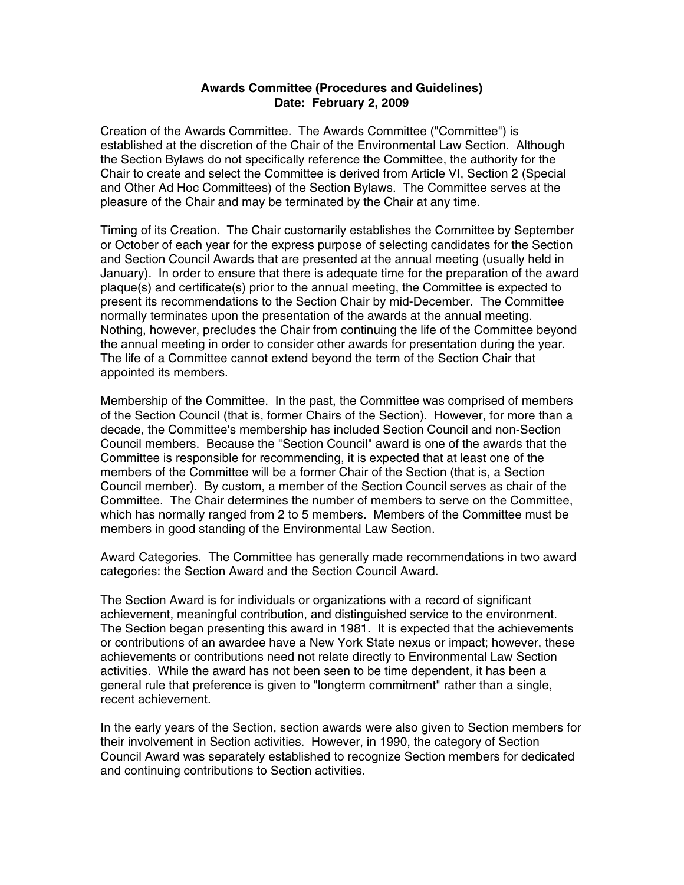## **Awards Committee (Procedures and Guidelines) Date: February 2, 2009**

Creation of the Awards Committee. The Awards Committee ("Committee") is established at the discretion of the Chair of the Environmental Law Section. Although the Section Bylaws do not specifically reference the Committee, the authority for the Chair to create and select the Committee is derived from Article VI, Section 2 (Special and Other Ad Hoc Committees) of the Section Bylaws. The Committee serves at the pleasure of the Chair and may be terminated by the Chair at any time.

Timing of its Creation. The Chair customarily establishes the Committee by September or October of each year for the express purpose of selecting candidates for the Section and Section Council Awards that are presented at the annual meeting (usually held in January). In order to ensure that there is adequate time for the preparation of the award plaque(s) and certificate(s) prior to the annual meeting, the Committee is expected to present its recommendations to the Section Chair by mid-December. The Committee normally terminates upon the presentation of the awards at the annual meeting. Nothing, however, precludes the Chair from continuing the life of the Committee beyond the annual meeting in order to consider other awards for presentation during the year. The life of a Committee cannot extend beyond the term of the Section Chair that appointed its members.

Membership of the Committee. In the past, the Committee was comprised of members of the Section Council (that is, former Chairs of the Section). However, for more than a decade, the Committee's membership has included Section Council and non-Section Council members. Because the "Section Council" award is one of the awards that the Committee is responsible for recommending, it is expected that at least one of the members of the Committee will be a former Chair of the Section (that is, a Section Council member). By custom, a member of the Section Council serves as chair of the Committee. The Chair determines the number of members to serve on the Committee, which has normally ranged from 2 to 5 members. Members of the Committee must be members in good standing of the Environmental Law Section.

Award Categories. The Committee has generally made recommendations in two award categories: the Section Award and the Section Council Award.

The Section Award is for individuals or organizations with a record of significant achievement, meaningful contribution, and distinguished service to the environment. The Section began presenting this award in 1981. It is expected that the achievements or contributions of an awardee have a New York State nexus or impact; however, these achievements or contributions need not relate directly to Environmental Law Section activities. While the award has not been seen to be time dependent, it has been a general rule that preference is given to "longterm commitment" rather than a single, recent achievement.

In the early years of the Section, section awards were also given to Section members for their involvement in Section activities. However, in 1990, the category of Section Council Award was separately established to recognize Section members for dedicated and continuing contributions to Section activities.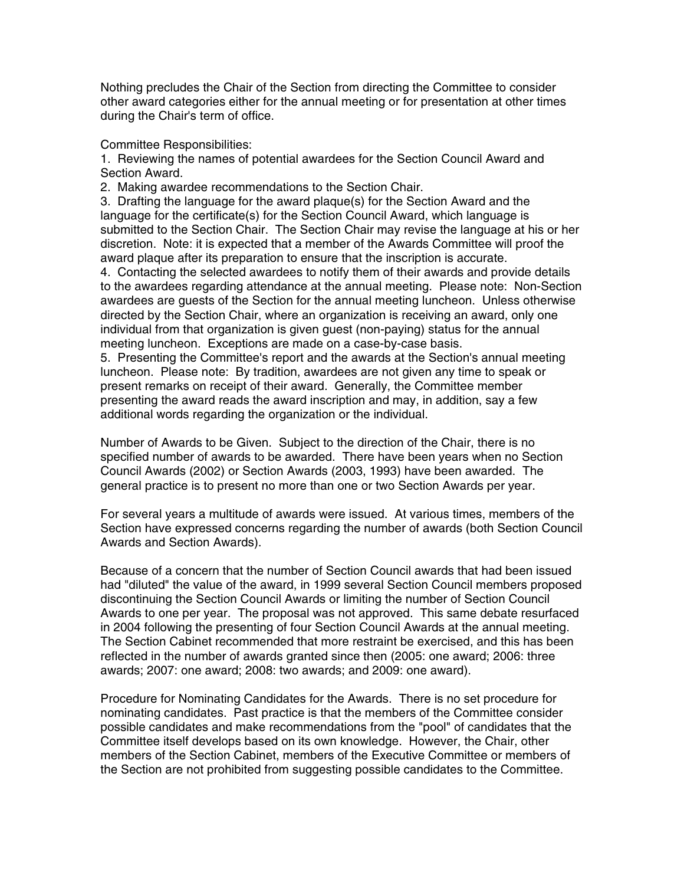Nothing precludes the Chair of the Section from directing the Committee to consider other award categories either for the annual meeting or for presentation at other times during the Chair's term of office.

Committee Responsibilities:

1. Reviewing the names of potential awardees for the Section Council Award and Section Award.

2. Making awardee recommendations to the Section Chair.

3. Drafting the language for the award plaque(s) for the Section Award and the language for the certificate(s) for the Section Council Award, which language is submitted to the Section Chair. The Section Chair may revise the language at his or her discretion. Note: it is expected that a member of the Awards Committee will proof the award plaque after its preparation to ensure that the inscription is accurate.

4. Contacting the selected awardees to notify them of their awards and provide details to the awardees regarding attendance at the annual meeting. Please note: Non-Section awardees are guests of the Section for the annual meeting luncheon. Unless otherwise directed by the Section Chair, where an organization is receiving an award, only one individual from that organization is given guest (non-paying) status for the annual meeting luncheon. Exceptions are made on a case-by-case basis.

5. Presenting the Committee's report and the awards at the Section's annual meeting luncheon. Please note: By tradition, awardees are not given any time to speak or present remarks on receipt of their award. Generally, the Committee member presenting the award reads the award inscription and may, in addition, say a few additional words regarding the organization or the individual.

Number of Awards to be Given. Subject to the direction of the Chair, there is no specified number of awards to be awarded. There have been years when no Section Council Awards (2002) or Section Awards (2003, 1993) have been awarded. The general practice is to present no more than one or two Section Awards per year.

For several years a multitude of awards were issued. At various times, members of the Section have expressed concerns regarding the number of awards (both Section Council Awards and Section Awards).

Because of a concern that the number of Section Council awards that had been issued had "diluted" the value of the award, in 1999 several Section Council members proposed discontinuing the Section Council Awards or limiting the number of Section Council Awards to one per year. The proposal was not approved. This same debate resurfaced in 2004 following the presenting of four Section Council Awards at the annual meeting. The Section Cabinet recommended that more restraint be exercised, and this has been reflected in the number of awards granted since then (2005: one award; 2006: three awards; 2007: one award; 2008: two awards; and 2009: one award).

Procedure for Nominating Candidates for the Awards. There is no set procedure for nominating candidates. Past practice is that the members of the Committee consider possible candidates and make recommendations from the "pool" of candidates that the Committee itself develops based on its own knowledge. However, the Chair, other members of the Section Cabinet, members of the Executive Committee or members of the Section are not prohibited from suggesting possible candidates to the Committee.